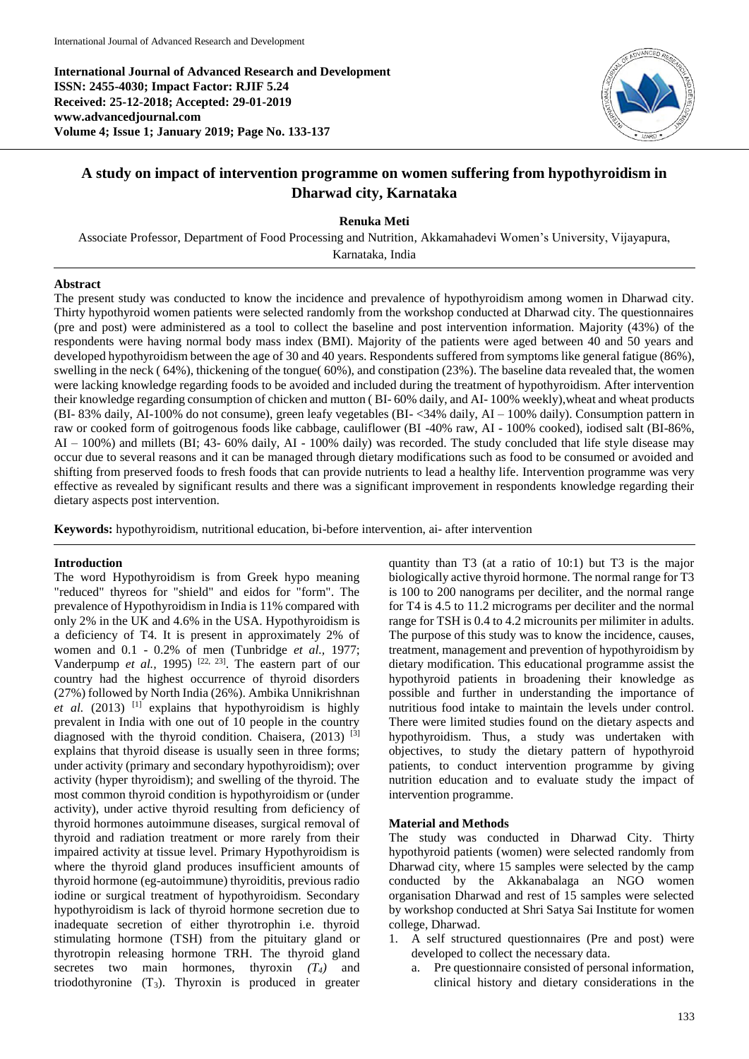**International Journal of Advanced Research and Development ISSN: 2455-4030; Impact Factor: RJIF 5.24 Received: 25-12-2018; Accepted: 29-01-2019 www.advancedjournal.com Volume 4; Issue 1; January 2019; Page No. 133-137**



# **A study on impact of intervention programme on women suffering from hypothyroidism in Dharwad city, Karnataka**

**Renuka Meti**

Associate Professor, Department of Food Processing and Nutrition, Akkamahadevi Women's University, Vijayapura, Karnataka, India

#### **Abstract**

The present study was conducted to know the incidence and prevalence of hypothyroidism among women in Dharwad city. Thirty hypothyroid women patients were selected randomly from the workshop conducted at Dharwad city. The questionnaires (pre and post) were administered as a tool to collect the baseline and post intervention information. Majority (43%) of the respondents were having normal body mass index (BMI). Majority of the patients were aged between 40 and 50 years and developed hypothyroidism between the age of 30 and 40 years. Respondents suffered from symptoms like general fatigue (86%), swelling in the neck ( 64%), thickening of the tongue( 60%), and constipation (23%). The baseline data revealed that, the women were lacking knowledge regarding foods to be avoided and included during the treatment of hypothyroidism. After intervention their knowledge regarding consumption of chicken and mutton ( BI- 60% daily, and AI- 100% weekly),wheat and wheat products (BI- 83% daily, AI-100% do not consume), green leafy vegetables (BI- <34% daily, AI – 100% daily). Consumption pattern in raw or cooked form of goitrogenous foods like cabbage, cauliflower (BI -40% raw, AI - 100% cooked), iodised salt (BI-86%, AI – 100%) and millets (BI; 43- 60% daily, AI - 100% daily) was recorded. The study concluded that life style disease may occur due to several reasons and it can be managed through dietary modifications such as food to be consumed or avoided and shifting from preserved foods to fresh foods that can provide nutrients to lead a healthy life. Intervention programme was very effective as revealed by significant results and there was a significant improvement in respondents knowledge regarding their dietary aspects post intervention.

**Keywords:** hypothyroidism, nutritional education, bi-before intervention, ai- after intervention

#### **Introduction**

The word Hypothyroidism is from Greek hypo meaning "reduced" thyreos for "shield" and eidos for "form". The prevalence of Hypothyroidism in India is 11% compared with only 2% in the UK and 4.6% in the USA. Hypothyroidism is a deficiency of T4. It is present in approximately 2% of women and 0.1 - 0.2% of men (Tunbridge *et al.,* 1977; Vanderpump *et al.*, 1995)<sup>[22, 23]</sup>. The eastern part of our country had the highest occurrence of thyroid disorders (27%) followed by North India (26%). Ambika Unnikrishnan et al. (2013) <sup>[1]</sup> explains that hypothyroidism is highly prevalent in India with one out of 10 people in the country diagnosed with the thyroid condition. Chaisera, (2013) <sup>[3]</sup> explains that thyroid disease is usually seen in three forms; under activity (primary and secondary hypothyroidism); over activity (hyper thyroidism); and swelling of the thyroid. The most common thyroid condition is hypothyroidism or (under activity), under active thyroid resulting from deficiency of thyroid hormones autoimmune diseases, surgical removal of thyroid and radiation treatment or more rarely from their impaired activity at tissue level. Primary Hypothyroidism is where the thyroid gland produces insufficient amounts of thyroid hormone (eg-autoimmune) thyroiditis, previous radio iodine or surgical treatment of hypothyroidism. Secondary hypothyroidism is lack of thyroid hormone secretion due to inadequate secretion of either thyrotrophin i.e. thyroid stimulating hormone (TSH) from the pituitary gland or thyrotropin releasing hormone TRH. The thyroid gland secretes two main hormones, thyroxin *(T4)* and triodothyronine (T3). Thyroxin is produced in greater

quantity than T3 (at a ratio of 10:1) but T3 is the major biologically active thyroid hormone. The normal range for T3 is 100 to 200 nanograms per deciliter, and the normal range for T4 is 4.5 to 11.2 micrograms per deciliter and the normal range for TSH is 0.4 to 4.2 microunits per milimiter in adults. The purpose of this study was to know the incidence, causes, treatment, management and prevention of hypothyroidism by dietary modification. This educational programme assist the hypothyroid patients in broadening their knowledge as possible and further in understanding the importance of nutritious food intake to maintain the levels under control. There were limited studies found on the dietary aspects and hypothyroidism. Thus, a study was undertaken with objectives, to study the dietary pattern of hypothyroid patients, to conduct intervention programme by giving nutrition education and to evaluate study the impact of intervention programme.

## **Material and Methods**

The study was conducted in Dharwad City. Thirty hypothyroid patients (women) were selected randomly from Dharwad city, where 15 samples were selected by the camp conducted by the Akkanabalaga an NGO women organisation Dharwad and rest of 15 samples were selected by workshop conducted at Shri Satya Sai Institute for women college, Dharwad.

- 1. A self structured questionnaires (Pre and post) were developed to collect the necessary data.
	- a. Pre questionnaire consisted of personal information, clinical history and dietary considerations in the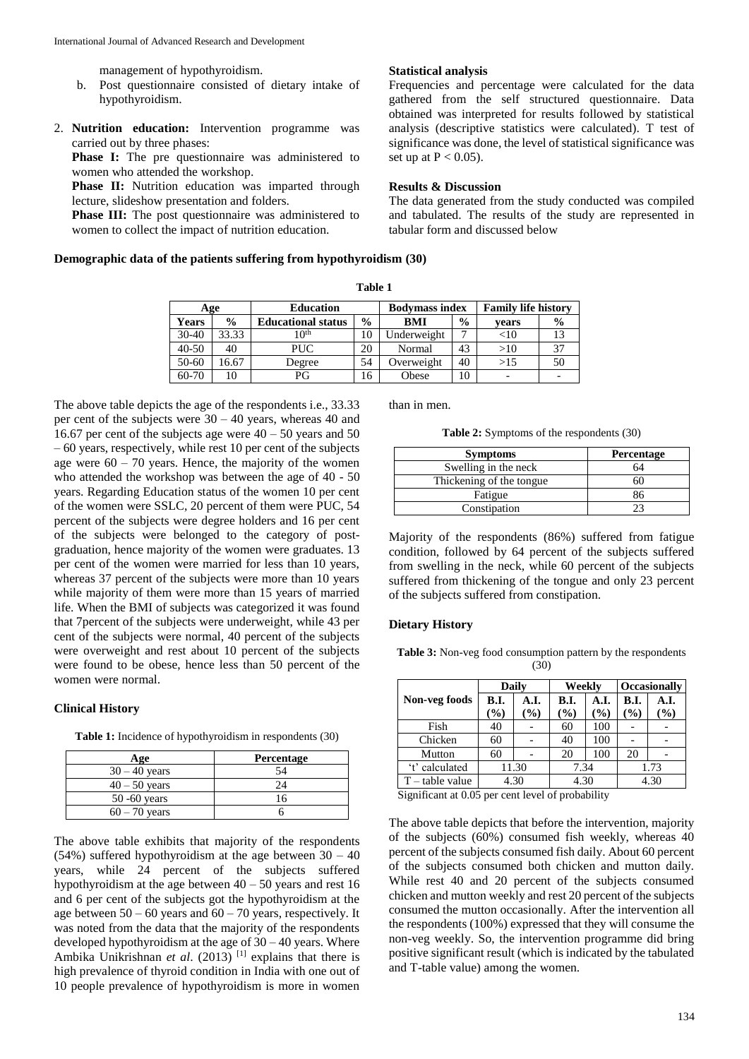management of hypothyroidism.

- b. Post questionnaire consisted of dietary intake of hypothyroidism.
- 2. **Nutrition education:** Intervention programme was carried out by three phases:

**Phase I:** The pre questionnaire was administered to women who attended the workshop.

Phase II: Nutrition education was imparted through lecture, slideshow presentation and folders.

Phase III: The post questionnaire was administered to women to collect the impact of nutrition education.

# **Statistical analysis**

Frequencies and percentage were calculated for the data gathered from the self structured questionnaire. Data obtained was interpreted for results followed by statistical analysis (descriptive statistics were calculated). T test of significance was done, the level of statistical significance was set up at  $P < 0.05$ ).

# **Results & Discussion**

The data generated from the study conducted was compiled and tabulated. The results of the study are represented in tabular form and discussed below

## **Demographic data of the patients suffering from hypothyroidism (30)**

| Age          |               | <b>Education</b>          | <b>Bodymass index</b> |             | <b>Family life history</b> |           |               |
|--------------|---------------|---------------------------|-----------------------|-------------|----------------------------|-----------|---------------|
| <b>Years</b> | $\frac{0}{0}$ | <b>Educational status</b> | $\frac{0}{0}$         | <b>BMI</b>  | $\frac{6}{9}$              | vears     | $\frac{6}{9}$ |
| $30 - 40$    | 33.33         | 10 <sup>th</sup>          | 10                    | Underweight |                            | $< \! 10$ |               |
| $40 - 50$    | 40            | <b>PUC</b>                | 20                    | Normal      | 43                         | >10       | 37            |
| $50 - 60$    | 6.67          | Degree                    | 54                    | Overweight  | 40                         | >15       | 50            |
| 60-70        |               | РG                        | 16                    | Obese       | 10                         |           |               |

The above table depicts the age of the respondents i.e., 33.33 per cent of the subjects were 30 – 40 years, whereas 40 and 16.67 per cent of the subjects age were  $40 - 50$  years and 50 – 60 years, respectively, while rest 10 per cent of the subjects age were  $60 - 70$  years. Hence, the majority of the women who attended the workshop was between the age of 40 - 50 years. Regarding Education status of the women 10 per cent of the women were SSLC, 20 percent of them were PUC, 54 percent of the subjects were degree holders and 16 per cent of the subjects were belonged to the category of postgraduation, hence majority of the women were graduates. 13 per cent of the women were married for less than 10 years, whereas 37 percent of the subjects were more than 10 years while majority of them were more than 15 years of married life. When the BMI of subjects was categorized it was found that 7percent of the subjects were underweight, while 43 per cent of the subjects were normal, 40 percent of the subjects were overweight and rest about 10 percent of the subjects were found to be obese, hence less than 50 percent of the women were normal.

# **Clinical History**

**Table 1:** Incidence of hypothyroidism in respondents (30)

| Age             | <b>Percentage</b> |
|-----------------|-------------------|
| $30 - 40$ years |                   |
| $40 - 50$ years |                   |
| $50 - 60$ years |                   |
| $60 - 70$ years |                   |

The above table exhibits that majority of the respondents (54%) suffered hypothyroidism at the age between  $30 - 40$ years, while 24 percent of the subjects suffered hypothyroidism at the age between  $40 - 50$  years and rest 16 and 6 per cent of the subjects got the hypothyroidism at the age between  $50 - 60$  years and  $60 - 70$  years, respectively. It was noted from the data that the majority of the respondents developed hypothyroidism at the age of 30 – 40 years. Where Ambika Unikrishnan *et al.* (2013)<sup>[1]</sup> explains that there is high prevalence of thyroid condition in India with one out of 10 people prevalence of hypothyroidism is more in women

than in men.

**Table 2:** Symptoms of the respondents (30)

| <b>Symptoms</b>           | <b>Percentage</b> |
|---------------------------|-------------------|
| Swelling in the neck      |                   |
| Thickening of the tongue. |                   |
| Fatigue                   |                   |
| Constipation              |                   |

Majority of the respondents (86%) suffered from fatigue condition, followed by 64 percent of the subjects suffered from swelling in the neck, while 60 percent of the subjects suffered from thickening of the tongue and only 23 percent of the subjects suffered from constipation.

# **Dietary History**

**Table 3:** Non-veg food consumption pattern by the respondents (30)

|                   | Daily           |      | Weekly          |      | <b>Occasionally</b> |      |  |
|-------------------|-----------------|------|-----------------|------|---------------------|------|--|
| Non-veg foods     | <b>B.I.</b>     | A.I. | <b>B.I.</b>     | A.I. | <b>B.I.</b>         | A.I. |  |
|                   | $\mathcal{O}_0$ | $\%$ | $\mathcal{O}_0$ | $\%$ | $\mathcal{O}_0$     | $\%$ |  |
| Fish              | 40              |      | 60              | 100  |                     |      |  |
| Chicken           | 60              |      | 40              | 100  |                     |      |  |
| Mutton            | 60              |      | 20              | 100  | 20                  |      |  |
| 't' calculated    | 11.30           |      | 7.34            |      | 1.73                |      |  |
| $T$ – table value |                 | 4.30 | 4.30            |      | 4.30                |      |  |

Significant at 0.05 per cent level of probability

The above table depicts that before the intervention, majority of the subjects (60%) consumed fish weekly, whereas 40 percent of the subjects consumed fish daily. About 60 percent of the subjects consumed both chicken and mutton daily. While rest 40 and 20 percent of the subjects consumed chicken and mutton weekly and rest 20 percent of the subjects consumed the mutton occasionally. After the intervention all the respondents (100%) expressed that they will consume the non-veg weekly. So, the intervention programme did bring positive significant result (which is indicated by the tabulated and T-table value) among the women.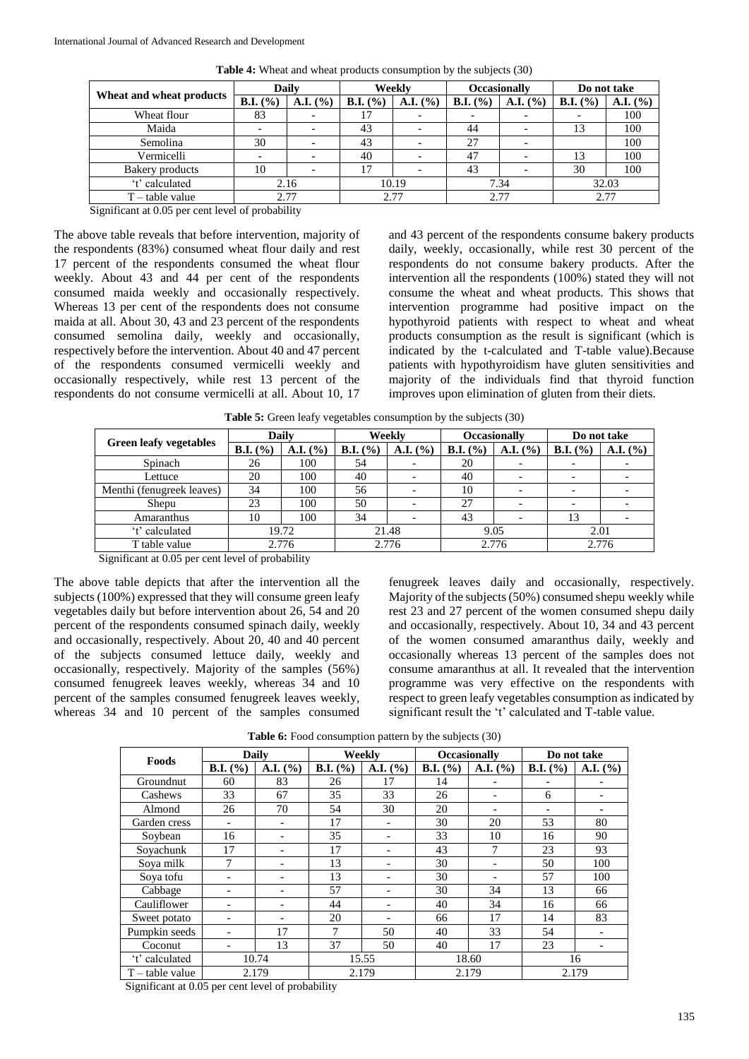|                          | <b>Daily</b>        |          | Weekly             |          | <b>Occasionally</b> |          | Do not take         |          |
|--------------------------|---------------------|----------|--------------------|----------|---------------------|----------|---------------------|----------|
| Wheat and wheat products | <b>B.I.</b> $(\% )$ | A.I. (%) | <b>B.I.</b> $(\%)$ | A.I. (%) | <b>B.I.</b> $(\% )$ | A.I. (%) | <b>B.I.</b> $(\% )$ | A.I. (%) |
| Wheat flour              | 83                  |          | 17                 |          |                     |          |                     | 100      |
| Maida                    |                     |          | 43                 |          | 44                  |          | 13                  | 100      |
| Semolina                 | 30                  |          | 43                 |          | 27                  |          |                     | 100      |
| Vermicelli               |                     |          | 40                 |          | 47                  |          | 13                  | 100      |
| Bakery products          | 10                  |          | 17                 |          | 43                  |          | 30                  | 100      |
| 't' calculated           | 2.16                |          | 10.19              |          | 7.34                |          | 32.03               |          |
| $T$ – table value        | 2.77                |          | 2.77               |          | 2.77                |          | 2.77                |          |

**Table 4:** Wheat and wheat products consumption by the subjects (30)

Significant at 0.05 per cent level of probability

The above table reveals that before intervention, majority of the respondents (83%) consumed wheat flour daily and rest 17 percent of the respondents consumed the wheat flour weekly. About 43 and 44 per cent of the respondents consumed maida weekly and occasionally respectively. Whereas 13 per cent of the respondents does not consume maida at all. About 30, 43 and 23 percent of the respondents consumed semolina daily, weekly and occasionally, respectively before the intervention. About 40 and 47 percent of the respondents consumed vermicelli weekly and occasionally respectively, while rest 13 percent of the respondents do not consume vermicelli at all. About 10, 17

and 43 percent of the respondents consume bakery products daily, weekly, occasionally, while rest 30 percent of the respondents do not consume bakery products. After the intervention all the respondents (100%) stated they will not consume the wheat and wheat products. This shows that intervention programme had positive impact on the hypothyroid patients with respect to wheat and wheat products consumption as the result is significant (which is indicated by the t-calculated and T-table value).Because patients with hypothyroidism have gluten sensitivities and majority of the individuals find that thyroid function improves upon elimination of gluten from their diets.

|                               | Dailv               |          | Weekly             |          |                     | <b>Occasionally</b>      | Do not take         |          |  |  |
|-------------------------------|---------------------|----------|--------------------|----------|---------------------|--------------------------|---------------------|----------|--|--|
| <b>Green leafy vegetables</b> | <b>B.I.</b> $(\% )$ | A.I. (%) | <b>B.I.</b> $(\%)$ | A.I. (%) | <b>B.I.</b> $(\% )$ | A.I. (%)                 | <b>B.I.</b> $(\% )$ | A.I. (%) |  |  |
| Spinach                       | 26                  | 100      | 54                 |          | 20                  | $\overline{\phantom{0}}$ |                     |          |  |  |
| Lettuce                       | 20                  | 100      | 40                 |          | 40                  | $\overline{\phantom{0}}$ |                     |          |  |  |
| Menthi (fenugreek leaves)     | 34                  | 100      | 56                 |          | 10                  |                          |                     |          |  |  |
| Shepu                         | 23                  | 100      | 50                 |          | 27                  | $\overline{\phantom{0}}$ |                     |          |  |  |

Amaranthus | 10 | 100 | 34 | - | 43 | - | 13 | -<sup>2</sup>t' calculated 19.72 21.48 9.05 2.01<br>T table value 2.776 2.776 2.776 2.777 2.777 2.777 T table value 2.776 2.776 2.776 2.776 2.776 2.776

**Table 5:** Green leafy vegetables consumption by the subjects (30)

Significant at 0.05 per cent level of probability

The above table depicts that after the intervention all the subjects (100%) expressed that they will consume green leafy vegetables daily but before intervention about 26, 54 and 20 percent of the respondents consumed spinach daily, weekly and occasionally, respectively. About 20, 40 and 40 percent of the subjects consumed lettuce daily, weekly and occasionally, respectively. Majority of the samples (56%) consumed fenugreek leaves weekly, whereas 34 and 10 percent of the samples consumed fenugreek leaves weekly, whereas 34 and 10 percent of the samples consumed fenugreek leaves daily and occasionally, respectively. Majority of the subjects (50%) consumed shepu weekly while rest 23 and 27 percent of the women consumed shepu daily and occasionally, respectively. About 10, 34 and 43 percent of the women consumed amaranthus daily, weekly and occasionally whereas 13 percent of the samples does not consume amaranthus at all. It revealed that the intervention programme was very effective on the respondents with respect to green leafy vegetables consumption as indicated by significant result the 't' calculated and T-table value.

Table 6: Food consumption pattern by the subjects (30)

|                   | <b>Daily</b>        |          | Weekly              |                          | <b>Occasionally</b>         |                          | Do not take                 |                          |
|-------------------|---------------------|----------|---------------------|--------------------------|-----------------------------|--------------------------|-----------------------------|--------------------------|
| Foods             | <b>B.I.</b> $(\% )$ | A.I. (%) | <b>B.I.</b> $(\% )$ | A.I. (%)                 | <b>B.I.</b> $(\frac{9}{6})$ | A.I. (%)                 | <b>B.I.</b> $(\frac{9}{6})$ | A.I. (%)                 |
| Groundnut         | 60                  | 83       | 26                  | 17                       | 14                          |                          |                             |                          |
| Cashews           | 33                  | 67       | 35                  | 33                       | 26                          | $\overline{\phantom{0}}$ | 6                           | $\overline{\phantom{a}}$ |
| Almond            | 26                  | 70       | 54                  | 30                       | 20                          |                          | ٠                           |                          |
| Garden cress      |                     |          | 17                  | $\overline{\phantom{a}}$ | 30                          | 20                       | 53                          | 80                       |
| Soybean           | 16                  |          | 35                  |                          | 33                          | 10                       | 16                          | 90                       |
| Sovachunk         | 17                  |          | 17                  |                          | 43                          |                          | 23                          | 93                       |
| Sova milk         | 7                   |          | 13                  |                          | 30                          | $\overline{\phantom{0}}$ | 50                          | 100                      |
| Soya tofu         |                     |          | 13                  | $\overline{\phantom{0}}$ | 30                          | $\overline{\phantom{0}}$ | 57                          | 100                      |
| Cabbage           |                     |          | 57                  |                          | 30                          | 34                       | 13                          | 66                       |
| Cauliflower       |                     |          | 44                  |                          | 40                          | 34                       | 16                          | 66                       |
| Sweet potato      |                     |          | 20                  |                          | 66                          | 17                       | 14                          | 83                       |
| Pumpkin seeds     |                     | 17       | 7                   | 50                       | 40                          | 33                       | 54                          | $\overline{\phantom{a}}$ |
| Coconut           |                     | 13       | 37                  | 50                       | 40                          | 17                       | 23                          |                          |
| 't' calculated    | 10.74               |          | 15.55               |                          | 18.60                       |                          | 16                          |                          |
| $T$ – table value |                     | 2.179    |                     | 2.179                    |                             | 2.179                    | 2.179                       |                          |

Significant at 0.05 per cent level of probability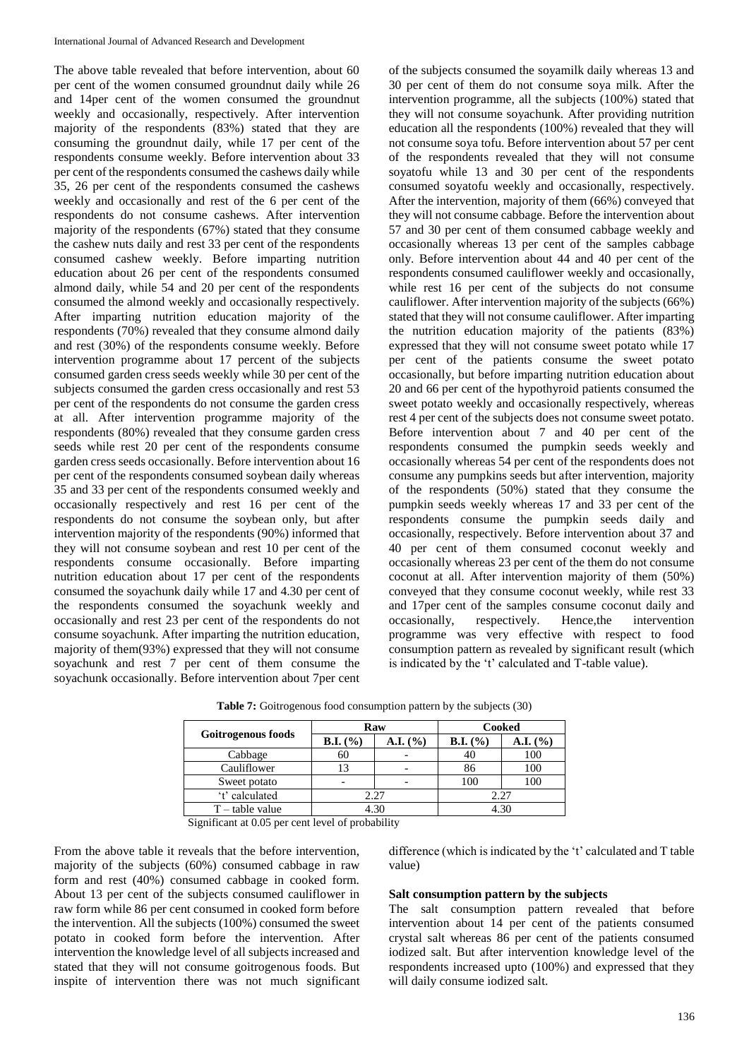The above table revealed that before intervention, about 60 per cent of the women consumed groundnut daily while 26 and 14per cent of the women consumed the groundnut weekly and occasionally, respectively. After intervention majority of the respondents (83%) stated that they are consuming the groundnut daily, while 17 per cent of the respondents consume weekly. Before intervention about 33 per cent of the respondents consumed the cashews daily while 35, 26 per cent of the respondents consumed the cashews weekly and occasionally and rest of the 6 per cent of the respondents do not consume cashews. After intervention majority of the respondents (67%) stated that they consume the cashew nuts daily and rest 33 per cent of the respondents consumed cashew weekly. Before imparting nutrition education about 26 per cent of the respondents consumed almond daily, while 54 and 20 per cent of the respondents consumed the almond weekly and occasionally respectively. After imparting nutrition education majority of the respondents (70%) revealed that they consume almond daily and rest (30%) of the respondents consume weekly. Before intervention programme about 17 percent of the subjects consumed garden cress seeds weekly while 30 per cent of the subjects consumed the garden cress occasionally and rest 53 per cent of the respondents do not consume the garden cress at all. After intervention programme majority of the respondents (80%) revealed that they consume garden cress seeds while rest 20 per cent of the respondents consume garden cress seeds occasionally. Before intervention about 16 per cent of the respondents consumed soybean daily whereas 35 and 33 per cent of the respondents consumed weekly and occasionally respectively and rest 16 per cent of the respondents do not consume the soybean only, but after intervention majority of the respondents (90%) informed that they will not consume soybean and rest 10 per cent of the respondents consume occasionally. Before imparting nutrition education about 17 per cent of the respondents consumed the soyachunk daily while 17 and 4.30 per cent of the respondents consumed the soyachunk weekly and occasionally and rest 23 per cent of the respondents do not consume soyachunk. After imparting the nutrition education, majority of them(93%) expressed that they will not consume soyachunk and rest 7 per cent of them consume the soyachunk occasionally. Before intervention about 7per cent

of the subjects consumed the soyamilk daily whereas 13 and 30 per cent of them do not consume soya milk. After the intervention programme, all the subjects (100%) stated that they will not consume soyachunk. After providing nutrition education all the respondents (100%) revealed that they will not consume soya tofu. Before intervention about 57 per cent of the respondents revealed that they will not consume soyatofu while 13 and 30 per cent of the respondents consumed soyatofu weekly and occasionally, respectively. After the intervention, majority of them (66%) conveyed that they will not consume cabbage. Before the intervention about 57 and 30 per cent of them consumed cabbage weekly and occasionally whereas 13 per cent of the samples cabbage only. Before intervention about 44 and 40 per cent of the respondents consumed cauliflower weekly and occasionally, while rest 16 per cent of the subjects do not consume cauliflower. After intervention majority of the subjects (66%) stated that they will not consume cauliflower. After imparting the nutrition education majority of the patients (83%) expressed that they will not consume sweet potato while 17 per cent of the patients consume the sweet potato occasionally, but before imparting nutrition education about 20 and 66 per cent of the hypothyroid patients consumed the sweet potato weekly and occasionally respectively, whereas rest 4 per cent of the subjects does not consume sweet potato. Before intervention about 7 and 40 per cent of the respondents consumed the pumpkin seeds weekly and occasionally whereas 54 per cent of the respondents does not consume any pumpkins seeds but after intervention, majority of the respondents (50%) stated that they consume the pumpkin seeds weekly whereas 17 and 33 per cent of the respondents consume the pumpkin seeds daily and occasionally, respectively. Before intervention about 37 and 40 per cent of them consumed coconut weekly and occasionally whereas 23 per cent of the them do not consume coconut at all. After intervention majority of them (50%) conveyed that they consume coconut weekly, while rest 33 and 17per cent of the samples consume coconut daily and occasionally, respectively. Hence,the intervention programme was very effective with respect to food consumption pattern as revealed by significant result (which is indicated by the 't' calculated and T-table value).

| Goitrogenous foods |                          | Raw      | Cooked              |          |  |
|--------------------|--------------------------|----------|---------------------|----------|--|
|                    | <b>B.I.</b> $(\%)$       | A.I. (%) | <b>B.I.</b> $(\% )$ | A.I. (%) |  |
| Cabbage            | 60                       |          | 40                  | 100      |  |
| Cauliflower        | 13                       |          | 86                  | 100      |  |
| Sweet potato       | $\overline{\phantom{0}}$ |          | 100                 | 100      |  |
| 't' calculated     |                          | 2.27     | 2.27                |          |  |
| $T$ – table value  |                          | 4.30     | 4.30                |          |  |

**Table 7:** Goitrogenous food consumption pattern by the subjects (30)

Significant at 0.05 per cent level of probability

From the above table it reveals that the before intervention, majority of the subjects (60%) consumed cabbage in raw form and rest (40%) consumed cabbage in cooked form. About 13 per cent of the subjects consumed cauliflower in raw form while 86 per cent consumed in cooked form before the intervention. All the subjects (100%) consumed the sweet potato in cooked form before the intervention. After intervention the knowledge level of all subjects increased and stated that they will not consume goitrogenous foods. But inspite of intervention there was not much significant

difference (which is indicated by the 't' calculated and T table value)

## **Salt consumption pattern by the subjects**

The salt consumption pattern revealed that before intervention about 14 per cent of the patients consumed crystal salt whereas 86 per cent of the patients consumed iodized salt. But after intervention knowledge level of the respondents increased upto (100%) and expressed that they will daily consume iodized salt.